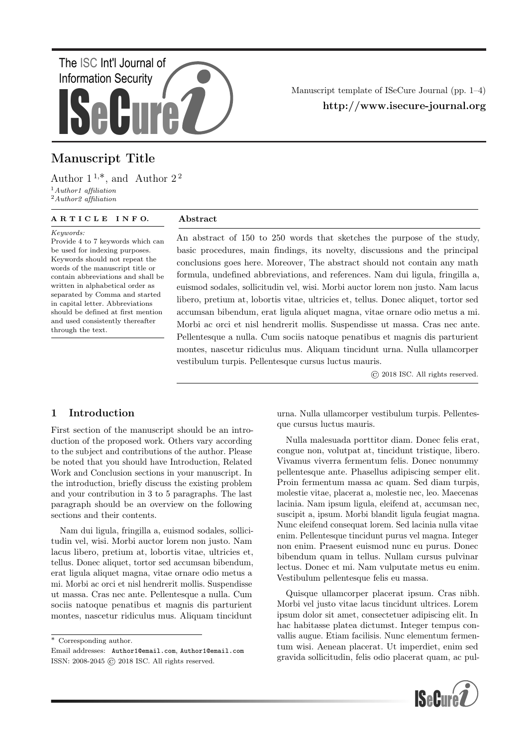

Manuscript template of ISeCure Journal (pp. 1–4) http://www.isecure-journal.org

# Manuscript Title

Author  $1^{1,*}$ , and Author  $2^2$ 

 $<sup>1</sup>$ Author1 affiliation</sup>

 $2$ Author2 affiliation

#### A R T I C L E I N F O.

#### Keywords:

Provide 4 to 7 keywords which can be used for indexing purposes. Keywords should not repeat the words of the manuscript title or contain abbreviations and shall be written in alphabetical order as separated by Comma and started in capital letter. Abbreviations should be defined at first mention and used consistently thereafter through the text.

# Abstract

An abstract of 150 to 250 words that sketches the purpose of the study, basic procedures, main findings, its novelty, discussions and the principal conclusions goes here. Moreover, The abstract should not contain any math formula, undefined abbreviations, and references. Nam dui ligula, fringilla a, euismod sodales, sollicitudin vel, wisi. Morbi auctor lorem non justo. Nam lacus libero, pretium at, lobortis vitae, ultricies et, tellus. Donec aliquet, tortor sed accumsan bibendum, erat ligula aliquet magna, vitae ornare odio metus a mi. Morbi ac orci et nisl hendrerit mollis. Suspendisse ut massa. Cras nec ante. Pellentesque a nulla. Cum sociis natoque penatibus et magnis dis parturient montes, nascetur ridiculus mus. Aliquam tincidunt urna. Nulla ullamcorper vestibulum turpis. Pellentesque cursus luctus mauris.

© 2018 ISC. All rights reserved.

# <span id="page-0-0"></span>1 Introduction

First section of the manuscript should be an introduction of the proposed work. Others vary according to the subject and contributions of the author. Please be noted that you should have Introduction, Related Work and Conclusion sections in your manuscript. In the introduction, briefly discuss the existing problem and your contribution in 3 to 5 paragraphs. The last paragraph should be an overview on the following sections and their contents.

Nam dui ligula, fringilla a, euismod sodales, sollicitudin vel, wisi. Morbi auctor lorem non justo. Nam lacus libero, pretium at, lobortis vitae, ultricies et, tellus. Donec aliquet, tortor sed accumsan bibendum, erat ligula aliquet magna, vitae ornare odio metus a mi. Morbi ac orci et nisl hendrerit mollis. Suspendisse ut massa. Cras nec ante. Pellentesque a nulla. Cum sociis natoque penatibus et magnis dis parturient montes, nascetur ridiculus mus. Aliquam tincidunt urna. Nulla ullamcorper vestibulum turpis. Pellentesque cursus luctus mauris.

Nulla malesuada porttitor diam. Donec felis erat, congue non, volutpat at, tincidunt tristique, libero. Vivamus viverra fermentum felis. Donec nonummy pellentesque ante. Phasellus adipiscing semper elit. Proin fermentum massa ac quam. Sed diam turpis, molestie vitae, placerat a, molestie nec, leo. Maecenas lacinia. Nam ipsum ligula, eleifend at, accumsan nec, suscipit a, ipsum. Morbi blandit ligula feugiat magna. Nunc eleifend consequat lorem. Sed lacinia nulla vitae enim. Pellentesque tincidunt purus vel magna. Integer non enim. Praesent euismod nunc eu purus. Donec bibendum quam in tellus. Nullam cursus pulvinar lectus. Donec et mi. Nam vulputate metus eu enim. Vestibulum pellentesque felis eu massa.

Quisque ullamcorper placerat ipsum. Cras nibh. Morbi vel justo vitae lacus tincidunt ultrices. Lorem ipsum dolor sit amet, consectetuer adipiscing elit. In hac habitasse platea dictumst. Integer tempus convallis augue. Etiam facilisis. Nunc elementum fermentum wisi. Aenean placerat. Ut imperdiet, enim sed gravida sollicitudin, felis odio placerat quam, ac pul-



<sup>∗</sup> Corresponding author.

Email addresses: Author1@email.com, Author1@email.com ISSN: 2008-2045 © 2018 ISC. All rights reserved.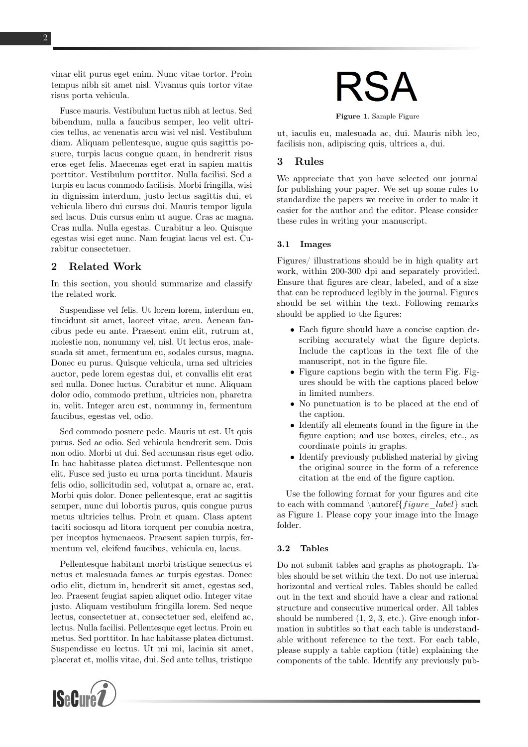vinar elit purus eget enim. Nunc vitae tortor. Proin tempus nibh sit amet nisl. Vivamus quis tortor vitae risus porta vehicula.

Fusce mauris. Vestibulum luctus nibh at lectus. Sed bibendum, nulla a faucibus semper, leo velit ultricies tellus, ac venenatis arcu wisi vel nisl. Vestibulum diam. Aliquam pellentesque, augue quis sagittis posuere, turpis lacus congue quam, in hendrerit risus eros eget felis. Maecenas eget erat in sapien mattis porttitor. Vestibulum porttitor. Nulla facilisi. Sed a turpis eu lacus commodo facilisis. Morbi fringilla, wisi in dignissim interdum, justo lectus sagittis dui, et vehicula libero dui cursus dui. Mauris tempor ligula sed lacus. Duis cursus enim ut augue. Cras ac magna. Cras nulla. Nulla egestas. Curabitur a leo. Quisque egestas wisi eget nunc. Nam feugiat lacus vel est. Curabitur consectetuer.

# 2 Related Work

In this section, you should summarize and classify the related work.

Suspendisse vel felis. Ut lorem lorem, interdum eu, tincidunt sit amet, laoreet vitae, arcu. Aenean faucibus pede eu ante. Praesent enim elit, rutrum at, molestie non, nonummy vel, nisl. Ut lectus eros, malesuada sit amet, fermentum eu, sodales cursus, magna. Donec eu purus. Quisque vehicula, urna sed ultricies auctor, pede lorem egestas dui, et convallis elit erat sed nulla. Donec luctus. Curabitur et nunc. Aliquam dolor odio, commodo pretium, ultricies non, pharetra in, velit. Integer arcu est, nonummy in, fermentum faucibus, egestas vel, odio.

Sed commodo posuere pede. Mauris ut est. Ut quis purus. Sed ac odio. Sed vehicula hendrerit sem. Duis non odio. Morbi ut dui. Sed accumsan risus eget odio. In hac habitasse platea dictumst. Pellentesque non elit. Fusce sed justo eu urna porta tincidunt. Mauris felis odio, sollicitudin sed, volutpat a, ornare ac, erat. Morbi quis dolor. Donec pellentesque, erat ac sagittis semper, nunc dui lobortis purus, quis congue purus metus ultricies tellus. Proin et quam. Class aptent taciti sociosqu ad litora torquent per conubia nostra, per inceptos hymenaeos. Praesent sapien turpis, fermentum vel, eleifend faucibus, vehicula eu, lacus.

Pellentesque habitant morbi tristique senectus et netus et malesuada fames ac turpis egestas. Donec odio elit, dictum in, hendrerit sit amet, egestas sed, leo. Praesent feugiat sapien aliquet odio. Integer vitae justo. Aliquam vestibulum fringilla lorem. Sed neque lectus, consectetuer at, consectetuer sed, eleifend ac, lectus. Nulla facilisi. Pellentesque eget lectus. Proin eu metus. Sed porttitor. In hac habitasse platea dictumst. Suspendisse eu lectus. Ut mi mi, lacinia sit amet, placerat et, mollis vitae, dui. Sed ante tellus, tristique



# <span id="page-1-0"></span>RSA

Figure 1. Sample Figure

ut, iaculis eu, malesuada ac, dui. Mauris nibh leo, facilisis non, adipiscing quis, ultrices a, dui.

#### 3 Rules

We appreciate that you have selected our journal for publishing your paper. We set up some rules to standardize the papers we receive in order to make it easier for the author and the editor. Please consider these rules in writing your manuscript.

#### 3.1 Images

Figures/ illustrations should be in high quality art work, within 200-300 dpi and separately provided. Ensure that figures are clear, labeled, and of a size that can be reproduced legibly in the journal. Figures should be set within the text. Following remarks should be applied to the figures:

- Each figure should have a concise caption describing accurately what the figure depicts. Include the captions in the text file of the manuscript, not in the figure file.
- Figure captions begin with the term Fig. Figures should be with the captions placed below in limited numbers.
- No punctuation is to be placed at the end of the caption.
- Identify all elements found in the figure in the figure caption; and use boxes, circles, etc., as coordinate points in graphs.
- Identify previously published material by giving the original source in the form of a reference citation at the end of the figure caption.

Use the following format for your figures and cite to each with command \autoref{ $figure$  label} such as [Figure 1.](#page-1-0) Please copy your image into the Image folder.

#### 3.2 Tables

Do not submit tables and graphs as photograph. Tables should be set within the text. Do not use internal horizontal and vertical rules. Tables should be called out in the text and should have a clear and rational structure and consecutive numerical order. All tables should be numbered (1, 2, 3, etc.). Give enough information in subtitles so that each table is understandable without reference to the text. For each table, please supply a table caption (title) explaining the components of the table. Identify any previously pub-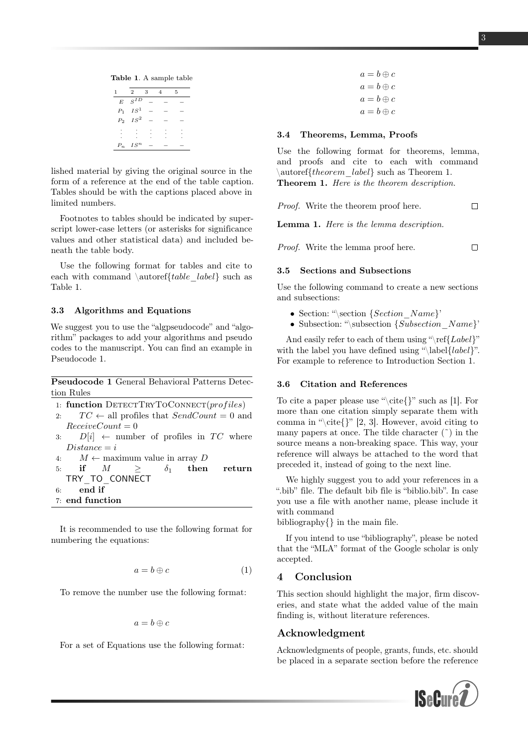<span id="page-2-0"></span>Table 1. A sample table

| 1     | $\overline{2}$ | 3 | 5 |
|-------|----------------|---|---|
| E     | $S^{ID}$       |   |   |
| $P_1$ | $IS^1$         |   |   |
|       | $P_2$ $IS^2$   |   |   |
|       |                |   |   |
|       |                |   |   |
| $P_n$ | $IS^n$         |   |   |

lished material by giving the original source in the form of a reference at the end of the table caption. Tables should be with the captions placed above in limited numbers.

Footnotes to tables should be indicated by superscript lower-case letters (or asterisks for significance values and other statistical data) and included beneath the table body.

Use the following format for tables and cite to each with command  $\autoref{table$  label such as [Table 1.](#page-2-0)

#### 3.3 Algorithms and Equations

We suggest you to use the "algpseudocode" and "algorithm" packages to add your algorithms and pseudo codes to the manuscript. You can find an example in Pseudocode [1.](#page-2-1)

<span id="page-2-1"></span>Pseudocode 1 General Behavioral Patterns Detection Rules

1: function  $DETERTTRYTOCONNET(profiles)$ 

- 2:  $TC \leftarrow$  all profiles that  $SendCount = 0$  and  $ReceiveCount = 0$
- 3:  $D[i] \leftarrow$  number of profiles in TC where  $Distance = i$
- 4:  $M \leftarrow$  maximum value in array D
- 5: if  $M \geq \delta_1$  then return TRY\_TO\_CONNECT 6: end if
- 7: end function

It is recommended to use the following format for numbering the equations:

$$
a = b \oplus c \tag{1}
$$

To remove the number use the following format:

$$
a = b \oplus c
$$

For a set of Equations use the following format:

 $a = b \oplus c$  $a = b \oplus c$  $a = b \oplus c$  $a = b \oplus c$ 

#### 3.4 Theorems, Lemma, Proofs

Use the following format for theorems, lemma, and proofs and cite to each with command  $\lambda$  autoref{theorem\_label} such as [Theorem 1.](#page-2-2) Theorem 1. Here is the theorem description.

<span id="page-2-2"></span>

|  |  |  | <i>Proof.</i> Write the theorem proof here. |  |  |
|--|--|--|---------------------------------------------|--|--|
|--|--|--|---------------------------------------------|--|--|

Lemma 1. Here is the lemma description.

 $\Box$ Proof. Write the lemma proof here.

#### 3.5 Sections and Subsections

Use the following command to create a new sections and subsections:

- Section: "\section {Section Name}'
- Subsection: "\subsection {Subsection\_Name}'

And easily refer to each of them using "\ref{Label}" with the label you have defined using "\label{label}". For example to reference to Introduction Section [1.](#page-0-0)

#### 3.6 Citation and References

To cite a paper please use "\cite{}" such as [\[1\]](#page-3-0). For more than one citation simply separate them with comma in " $\cite{}" [2, 3]$  $\cite{}" [2, 3]$  $\cite{}" [2, 3]$  $\cite{}" [2, 3]$ . However, avoid citing to many papers at once. The tilde character  $($ <sup>n</sup> $)$  in the source means a non-breaking space. This way, your reference will always be attached to the word that preceded it, instead of going to the next line.

We highly suggest you to add your references in a ".bib" file. The default bib file is "biblio.bib". In case you use a file with another name, please include it with command

bibliography{} in the main file.

If you intend to use "bibliography", please be noted that the "MLA" format of the [Google scholar](https://scholar.google.com/schhp?hl=en&as_sdt=0,5) is only accepted.

#### 4 Conclusion

This section should highlight the major, firm discoveries, and state what the added value of the main finding is, without literature references.

#### Acknowledgment

Acknowledgments of people, grants, funds, etc. should be placed in a separate section before the reference